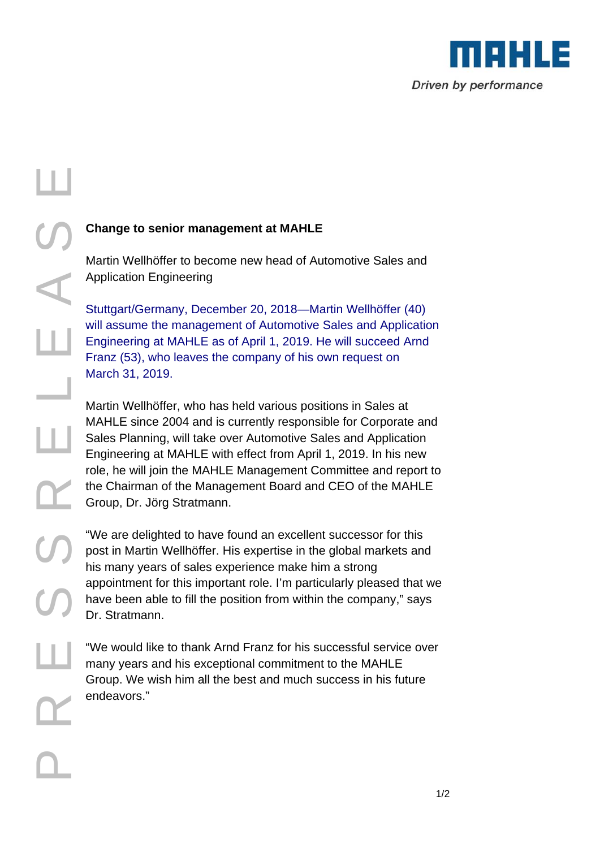

# P R S S E L E A S E ш

T

## **Change to senior management at MAHLE**

Martin Wellhöffer to become new head of Automotive Sales and Application Engineering

Stuttgart/Germany, December 20, 2018—Martin Wellhöffer (40) will assume the management of Automotive Sales and Application Engineering at MAHLE as of April 1, 2019. He will succeed Arnd Franz (53), who leaves the company of his own request on March 31, 2019.

Martin Wellhöffer, who has held various positions in Sales at MAHLE since 2004 and is currently responsible for Corporate and Sales Planning, will take over Automotive Sales and Application Engineering at MAHLE with effect from April 1, 2019. In his new role, he will join the MAHLE Management Committee and report to the Chairman of the Management Board and CEO of the MAHLE Group, Dr. Jörg Stratmann.

"We are delighted to have found an excellent successor for this post in Martin Wellhöffer. His expertise in the global markets and his many years of sales experience make him a strong appointment for this important role. I'm particularly pleased that we have been able to fill the position from within the company," says Dr. Stratmann.

"We would like to thank Arnd Franz for his successful service over many years and his exceptional commitment to the MAHLE Group. We wish him all the best and much success in his future endeavors."